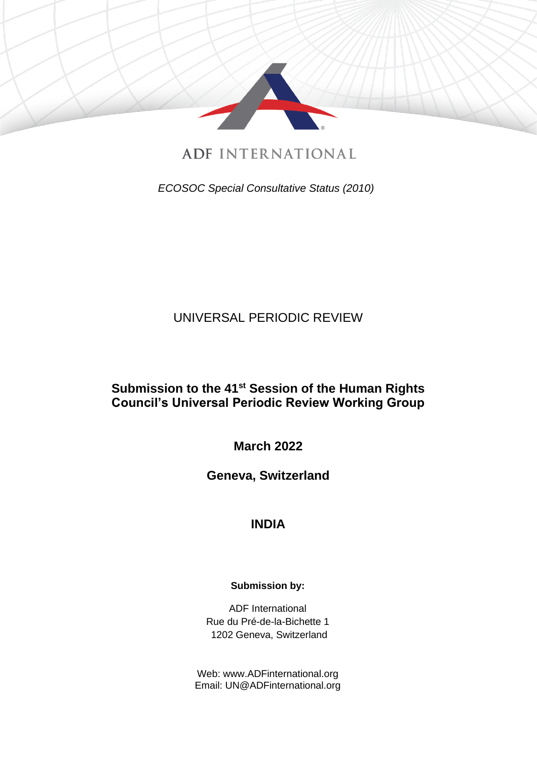

**ADF INTERNATIONAL** 

*ECOSOC Special Consultative Status (2010)*

# UNIVERSAL PERIODIC REVIEW

## **Submission to the 41st Session of the Human Rights Council's Universal Periodic Review Working Group**

**March 2022**

**Geneva, Switzerland**

# **INDIA**

### **Submission by:**

ADF International Rue du Pré-de-la-Bichette 1 1202 Geneva, Switzerland

Web: www.ADFinternational.org Email: UN@ADFinternational.org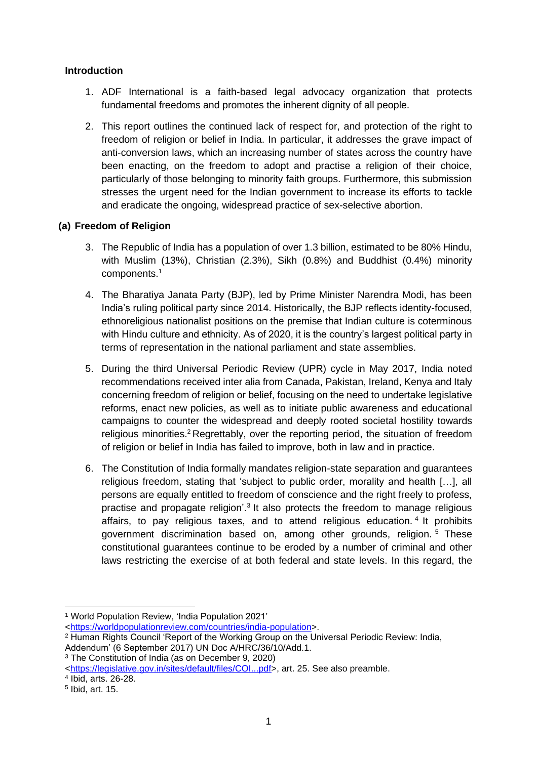#### **Introduction**

- 1. ADF International is a faith-based legal advocacy organization that protects fundamental freedoms and promotes the inherent dignity of all people.
- 2. This report outlines the continued lack of respect for, and protection of the right to freedom of religion or belief in India. In particular, it addresses the grave impact of anti-conversion laws, which an increasing number of states across the country have been enacting, on the freedom to adopt and practise a religion of their choice, particularly of those belonging to minority faith groups. Furthermore, this submission stresses the urgent need for the Indian government to increase its efforts to tackle and eradicate the ongoing, widespread practice of sex-selective abortion.

#### **(a) Freedom of Religion**

- 3. The Republic of India has a population of over 1.3 billion, estimated to be 80% Hindu, with Muslim (13%), Christian (2.3%), Sikh (0.8%) and Buddhist (0.4%) minority components. 1
- 4. The Bharatiya Janata Party (BJP), led by Prime Minister Narendra Modi, has been India's ruling political party since 2014. Historically, the BJP reflects identity-focused, ethnoreligious nationalist positions on the premise that Indian culture is coterminous with Hindu culture and ethnicity. As of 2020, it is the country's largest political party in terms of representation in the national parliament and state assemblies.
- 5. During the third Universal Periodic Review (UPR) cycle in May 2017, India noted recommendations received inter alia from Canada, Pakistan, Ireland, Kenya and Italy concerning freedom of religion or belief, focusing on the need to undertake legislative reforms, enact new policies, as well as to initiate public awareness and educational campaigns to counter the widespread and deeply rooted societal hostility towards religious minorities.<sup>2</sup> Regrettably, over the reporting period, the situation of freedom of religion or belief in India has failed to improve, both in law and in practice.
- 6. The Constitution of India formally mandates religion-state separation and guarantees religious freedom, stating that 'subject to public order, morality and health […], all persons are equally entitled to freedom of conscience and the right freely to profess, practise and propagate religion'.<sup>3</sup> It also protects the freedom to manage religious affairs, to pay religious taxes, and to attend religious education. 4 It prohibits government discrimination based on, among other grounds, religion. <sup>5</sup> These constitutional guarantees continue to be eroded by a number of criminal and other laws restricting the exercise of at both federal and state levels. In this regard, the

<sup>1</sup> World Population Review, 'India Population 2021'

[<sup>&</sup>lt;https://worldpopulationreview.com/countries/india-population>](about:blank).

<sup>2</sup> Human Rights Council 'Report of the Working Group on the Universal Periodic Review: India,

Addendum' (6 September 2017) UN Doc A/HRC/36/10/Add.1.

<sup>3</sup> The Constitution of India (as on December 9, 2020)

[<sup>&</sup>lt;https://legislative.gov.in/sites/default/files/COI...pdf>](https://legislative.gov.in/sites/default/files/COI...pdf), art. 25. See also preamble.

<sup>4</sup> Ibid, arts. 26-28.

<sup>5</sup> Ibid, art. 15.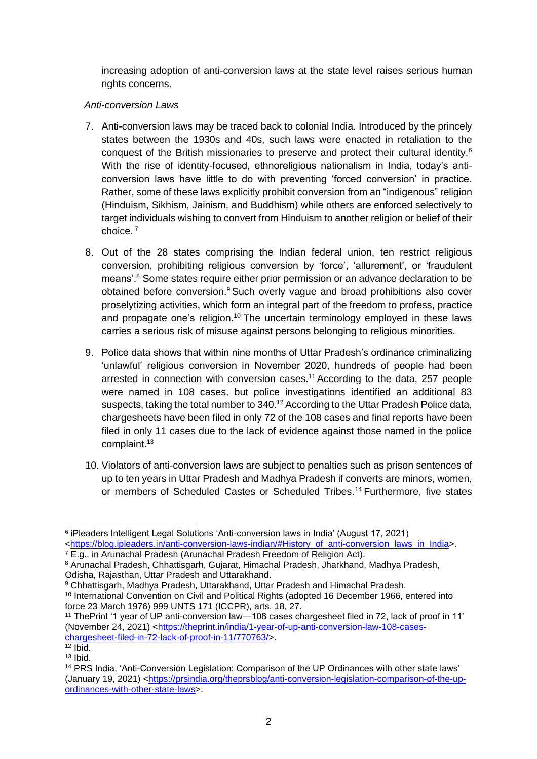increasing adoption of anti-conversion laws at the state level raises serious human rights concerns.

#### *Anti-conversion Laws*

- 7. Anti-conversion laws may be traced back to colonial India. Introduced by the princely states between the 1930s and 40s, such laws were enacted in retaliation to the conquest of the British missionaries to preserve and protect their cultural identity.<sup>6</sup> With the rise of identity-focused, ethnoreligious nationalism in India, today's anticonversion laws have little to do with preventing 'forced conversion' in practice. Rather, some of these laws explicitly prohibit conversion from an "indigenous" religion (Hinduism, Sikhism, Jainism, and Buddhism) while others are enforced selectively to target individuals wishing to convert from Hinduism to another religion or belief of their choice. <sup>7</sup>
- 8. Out of the 28 states comprising the Indian federal union, ten restrict religious conversion, prohibiting religious conversion by 'force', 'allurement', or 'fraudulent means'. <sup>8</sup> Some states require either prior permission or an advance declaration to be obtained before conversion.<sup>9</sup> Such overly vague and broad prohibitions also cover proselytizing activities, which form an integral part of the freedom to profess, practice and propagate one's religion.<sup>10</sup> The uncertain terminology employed in these laws carries a serious risk of misuse against persons belonging to religious minorities.
- 9. Police data shows that within nine months of Uttar Pradesh's ordinance criminalizing 'unlawful' religious conversion in November 2020, hundreds of people had been arrested in connection with conversion cases.<sup>11</sup> According to the data, 257 people were named in 108 cases, but police investigations identified an additional 83 suspects, taking the total number to 340.<sup>12</sup> According to the Uttar Pradesh Police data, chargesheets have been filed in only 72 of the 108 cases and final reports have been filed in only 11 cases due to the lack of evidence against those named in the police complaint.<sup>13</sup>
- 10. Violators of anti-conversion laws are subject to penalties such as prison sentences of up to ten years in Uttar Pradesh and Madhya Pradesh if converts are minors, women, or members of Scheduled Castes or Scheduled Tribes. <sup>14</sup> Furthermore, five states

 $^6$  iPleaders Intelligent Legal Solutions 'Anti-conversion laws in India' (August 17, 2021) [<https://blog.ipleaders.in/anti-conversion-laws-indian/#History\\_of\\_anti-conversion\\_laws\\_in\\_India>](about:blank#History_of_anti-conversion_laws_in_India).

<sup>&</sup>lt;sup>7</sup> E.g., in Arunachal Pradesh [\(Arunachal Pradesh Freedom of Religion Act\)](about:blank).

<sup>8</sup> Arunachal Pradesh, Chhattisgarh, Gujarat, Himachal Pradesh, Jharkhand, Madhya Pradesh, Odisha, Rajasthan, Uttar Pradesh and Uttarakhand.

<sup>9</sup> Chhattisgarh, Madhya Pradesh, Uttarakhand, Uttar Pradesh and Himachal Pradesh.

<sup>10</sup> International Convention on Civil and Political Rights (adopted 16 December 1966, entered into force 23 March 1976) 999 UNTS 171 (ICCPR), arts. 18, 27.

<sup>11</sup> ThePrint '1 year of UP anti-conversion law—108 cases chargesheet filed in 72, lack of proof in 11' (November 24, 2021) [<https://theprint.in/india/1-year-of-up-anti-conversion-law-108-cases](about:blank)[chargesheet-filed-in-72-lack-of-proof-in-11/770763/>](about:blank).

 $12$  Ibid.  $13$  Ibid.

<sup>14</sup> PRS India, 'Anti-Conversion Legislation: Comparison of the UP Ordinances with other state laws' (January 19, 2021) [<https://prsindia.org/theprsblog/anti-conversion-legislation-comparison-of-the-up](https://prsindia.org/theprsblog/anti-conversion-legislation-comparison-of-the-up-ordinances-with-other-state-laws)[ordinances-with-other-state-laws>](https://prsindia.org/theprsblog/anti-conversion-legislation-comparison-of-the-up-ordinances-with-other-state-laws).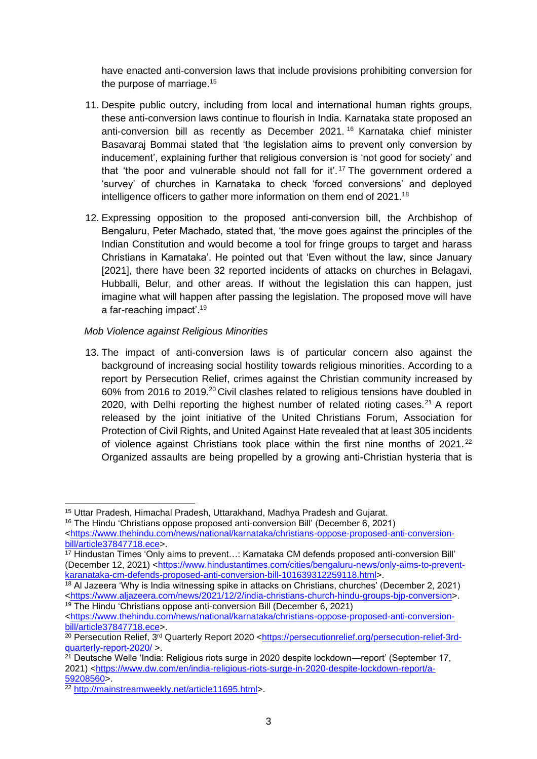have enacted anti-conversion laws that include provisions prohibiting conversion for the purpose of marriage.<sup>15</sup>

- 11. Despite public outcry, including from local and international human rights groups, these anti-conversion laws continue to flourish in India. Karnataka state proposed an anti-conversion bill as recently as December 2021. <sup>16</sup> Karnataka chief minister Basavaraj Bommai stated that 'the legislation aims to prevent only conversion by inducement', explaining further that religious conversion is 'not good for society' and that 'the poor and vulnerable should not fall for it'. <sup>17</sup> The government ordered a 'survey' of churches in Karnataka to check 'forced conversions' and deployed intelligence officers to gather more information on them end of 2021.<sup>18</sup>
- 12. Expressing opposition to the proposed anti-conversion bill, the Archbishop of Bengaluru, Peter Machado, stated that, 'the move goes against the principles of the Indian Constitution and would become a tool for fringe groups to target and harass Christians in Karnataka'. He pointed out that 'Even without the law, since January [2021], there have been 32 reported incidents of attacks on churches in Belagavi, Hubballi, Belur, and other areas. If without the legislation this can happen, just imagine what will happen after passing the legislation. The proposed move will have a far-reaching impact'.<sup>19</sup>

#### *Mob Violence against Religious Minorities*

13. The impact of anti-conversion laws is of particular concern also against the background of increasing social hostility towards religious minorities. According to a report by Persecution Relief, crimes against the Christian community increased by 60% from 2016 to 2019.<sup>20</sup> Civil clashes related to religious tensions have doubled in 2020, with Delhi reporting the highest number of related rioting cases.<sup>21</sup> A report released by the joint initiative of the United Christians Forum, Association for Protection of Civil Rights, and United Against Hate revealed that at least 305 incidents of violence against Christians took place within the first nine months of  $2021$ .<sup>22</sup> Organized assaults are being propelled by a growing anti-Christian hysteria that is

<sup>16</sup> The Hindu 'Christians oppose proposed anti-conversion Bill' (December 6, 2021)

<sup>15</sup> Uttar Pradesh, Himachal Pradesh, Uttarakhand, Madhya Pradesh and Gujarat.

[<sup>&</sup>lt;https://www.thehindu.com/news/national/karnataka/christians-oppose-proposed-anti-conversion](about:blank)[bill/article37847718.ece>](about:blank).

<sup>17</sup> Hindustan Times 'Only aims to prevent…: Karnataka CM defends proposed anti-conversion Bill' (December 12, 2021) [<https://www.hindustantimes.com/cities/bengaluru-news/only-aims-to-prevent](about:blank)[karanataka-cm-defends-proposed-anti-conversion-bill-101639312259118.html>](about:blank).

<sup>&</sup>lt;sup>18</sup> Al Jazeera 'Why is India witnessing spike in attacks on Christians, churches' (December 2, 2021) [<https://www.aljazeera.com/news/2021/12/2/india-christians-church-hindu-groups-bjp-conversion>](about:blank). <sup>19</sup> The Hindu 'Christians oppose anti-conversion Bill (December 6, 2021)

[<sup>&</sup>lt;https://www.thehindu.com/news/national/karnataka/christians-oppose-proposed-anti-conversion](about:blank)[bill/article37847718.ece>](about:blank).

<sup>20</sup> Persecution Relief, 3rd Quarterly Report 2020 <https://persecutionrelief.org/persecution-relief-3rdquarterly-report-2020/ >.

 $2<sup>1</sup>$  Deutsche Welle 'India: Religious riots surge in 2020 despite lockdown—report' (September 17, 2021) [<https://www.dw.com/en/india-religious-riots-surge-in-2020-despite-lockdown-report/a-](about:blank)[59208560>](about:blank).

<sup>22</sup> [http://mainstreamweekly.net/article11695.html>](about:blank).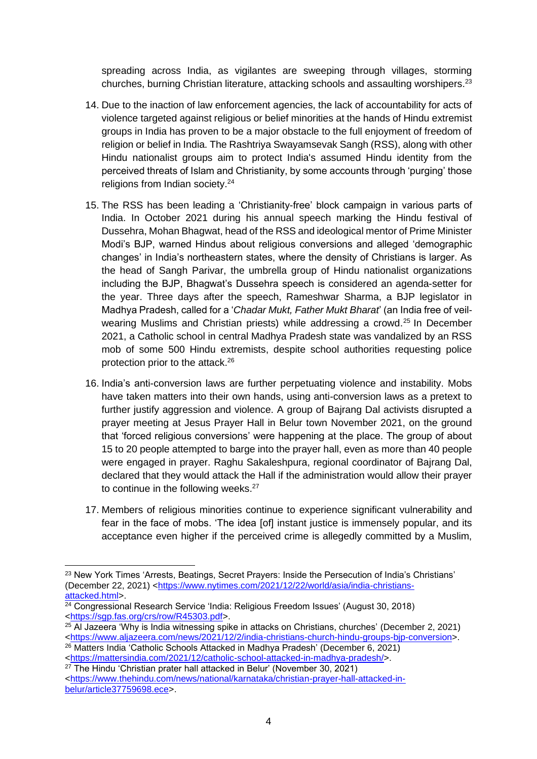spreading across India, as vigilantes are sweeping through villages, storming churches, burning Christian literature, attacking schools and assaulting worshipers.<sup>23</sup>

- 14. Due to the inaction of law enforcement agencies, the lack of accountability for acts of violence targeted against religious or belief minorities at the hands of Hindu extremist groups in India has proven to be a major obstacle to the full enjoyment of freedom of religion or belief in India. The Rashtriya Swayamsevak Sangh (RSS), along with other Hindu nationalist groups aim to protect India's assumed Hindu identity from the perceived threats of Islam and Christianity, by some accounts through 'purging' those religions from Indian society.<sup>24</sup>
- 15. The RSS has been leading a 'Christianity-free' block campaign in various parts of India. In October 2021 during his annual speech marking the Hindu festival of Dussehra, Mohan Bhagwat, head of the RSS and ideological mentor of Prime Minister Modi's BJP, warned Hindus about religious conversions and alleged 'demographic changes' in India's northeastern states, where the density of Christians is larger. As the head of Sangh Parivar, the umbrella group of Hindu nationalist organizations including the BJP, Bhagwat's Dussehra speech is considered an agenda-setter for the year. Three days after the speech, Rameshwar Sharma, a BJP legislator in Madhya Pradesh, called for a '*Chadar Mukt, Father Mukt Bharat*' (an India free of veilwearing Muslims and Christian priests) while addressing a crowd. <sup>25</sup> In December 2021, a Catholic school in central Madhya Pradesh state was vandalized by an RSS mob of some 500 Hindu extremists, despite school authorities requesting police protection prior to the attack.<sup>26</sup>
- 16. India's anti-conversion laws are further perpetuating violence and instability. Mobs have taken matters into their own hands, using anti-conversion laws as a pretext to further justify aggression and violence. A group of Bajrang Dal activists disrupted a prayer meeting at Jesus Prayer Hall in Belur town November 2021, on the ground that 'forced religious conversions' were happening at the place. The group of about 15 to 20 people attempted to barge into the prayer hall, even as more than 40 people were engaged in prayer. Raghu Sakaleshpura, regional coordinator of Bajrang Dal, declared that they would attack the Hall if the administration would allow their prayer to continue in the following weeks.<sup>27</sup>
- 17. Members of religious minorities continue to experience significant vulnerability and fear in the face of mobs. 'The idea [of] instant justice is immensely popular, and its acceptance even higher if the perceived crime is allegedly committed by a Muslim,

<sup>&</sup>lt;sup>23</sup> New York Times 'Arrests, Beatings, Secret Prayers: Inside the Persecution of India's Christians' (December 22, 2021) [<https://www.nytimes.com/2021/12/22/world/asia/india-christians](about:blank)[attacked.html>](about:blank).

 $24$  Congressional Research Service 'India: Religious Freedom Issues' (August 30, 2018) [<https://sgp.fas.org/crs/row/R45303.pdf>](about:blank).

 $25$  Al Jazeera 'Why is India witnessing spike in attacks on Christians, churches' (December 2, 2021) [<https://www.aljazeera.com/news/2021/12/2/india-christians-church-hindu-groups-bjp-conversion>](https://www.aljazeera.com/news/2021/12/2/india-christians-church-hindu-groups-bjp-conversion).

<sup>26</sup> Matters India 'Catholic Schools Attacked in Madhya Pradesh' (December 6, 2021) [<https://mattersindia.com/2021/12/catholic-school-attacked-in-madhya-pradesh/>](https://mattersindia.com/2021/12/catholic-school-attacked-in-madhya-pradesh/).

<sup>27</sup> The Hindu 'Christian prater hall attacked in Belur' (November 30, 2021) [<https://www.thehindu.com/news/national/karnataka/christian-prayer-hall-attacked-in](about:blank)[belur/article37759698.ece>](about:blank).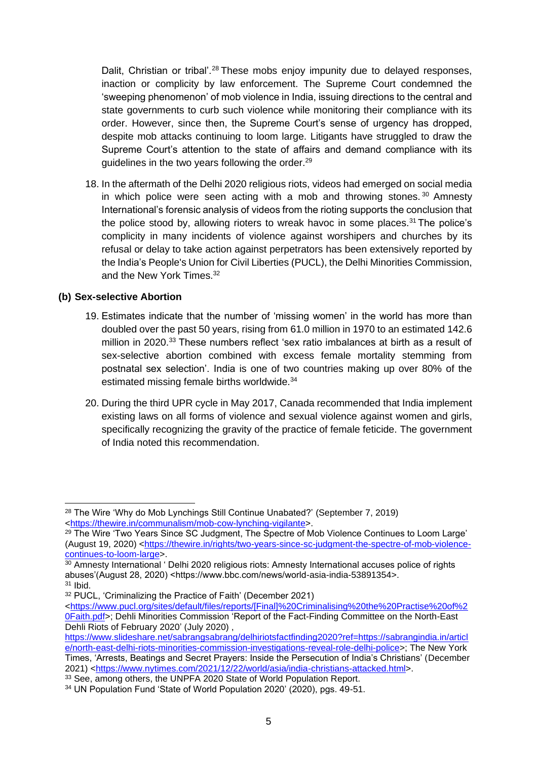Dalit, Christian or tribal'.<sup>28</sup> These mobs enjoy impunity due to delayed responses, inaction or complicity by law enforcement. The Supreme Court condemned the 'sweeping phenomenon' of mob violence in India, issuing directions to the central and state governments to curb such violence while monitoring their compliance with its order. However, since then, the Supreme Court's sense of urgency has dropped, despite mob attacks continuing to loom large. Litigants have struggled to draw the Supreme Court's attention to the state of affairs and demand compliance with its guidelines in the two years following the order. 29

18. In the aftermath of the Delhi 2020 religious riots, videos had emerged on social media in which police were seen acting with a mob and throwing stones.  $30$  Amnesty International's forensic analysis of videos from the rioting supports the conclusion that the police stood by, allowing rioters to wreak havoc in some places.<sup>31</sup> The police's complicity in many incidents of violence against worshipers and churches by its refusal or delay to take action against perpetrators has been extensively reported by the India's People's Union for Civil Liberties (PUCL), the Delhi Minorities Commission, and the New York Times. 32

#### **(b) Sex-selective Abortion**

- 19. Estimates indicate that the number of 'missing women' in the world has more than doubled over the past 50 years, rising from 61.0 million in 1970 to an estimated 142.6 million in 2020.<sup>33</sup> These numbers reflect 'sex ratio imbalances at birth as a result of sex-selective abortion combined with excess female mortality stemming from postnatal sex selection'. India is one of two countries making up over 80% of the estimated missing female births worldwide.<sup>34</sup>
- 20. During the third UPR cycle in May 2017, Canada recommended that India implement existing laws on all forms of violence and sexual violence against women and girls, specifically recognizing the gravity of the practice of female feticide. The government of India noted this recommendation.

<sup>&</sup>lt;sup>28</sup> The Wire 'Why do Mob Lynchings Still Continue Unabated?' (September 7, 2019) [<https://thewire.in/communalism/mob-cow-lynching-vigilante>](https://thewire.in/communalism/mob-cow-lynching-vigilante).

<sup>&</sup>lt;sup>29</sup> The Wire 'Two Years Since SC Judgment, The Spectre of Mob Violence Continues to Loom Large' (August 19, 2020) [<https://thewire.in/rights/two-years-since-sc-judgment-the-spectre-of-mob-violence](https://thewire.in/rights/two-years-since-sc-judgment-the-spectre-of-mob-violence-continues-to-loom-large)[continues-to-loom-large>](https://thewire.in/rights/two-years-since-sc-judgment-the-spectre-of-mob-violence-continues-to-loom-large).

<sup>30</sup> Amnesty International ' Delhi 2020 religious riots: Amnesty International accuses police of rights abuses'(August 28, 2020) <https://www.bbc.com/news/world-asia-india-53891354>.  $31$  Ibid.

<sup>32</sup> PUCL, 'Criminalizing the Practice of Faith' (December 2021)

[<sup>&</sup>lt;https://www.pucl.org/sites/default/files/reports/\[Final\]%20Criminalising%20the%20Practise%20of%2](https://www.pucl.org/sites/default/files/reports/%5bFinal%5d%20Criminalising%20the%20Practise%20of%20Faith.pdf) [0Faith.pdf>](https://www.pucl.org/sites/default/files/reports/%5bFinal%5d%20Criminalising%20the%20Practise%20of%20Faith.pdf); Dehli Minorities Commission 'Report of the Fact-Finding Committee on the North-East Dehli Riots of February 2020' (July 2020),

[https://www.slideshare.net/sabrangsabrang/delhiriotsfactfinding2020?ref=https://sabrangindia.in/articl](https://www.slideshare.net/sabrangsabrang/delhiriotsfactfinding2020?ref=https://sabrangindia.in/article/north-east-delhi-riots-minorities-commission-investigations-reveal-role-delhi-police) [e/north-east-delhi-riots-minorities-commission-investigations-reveal-role-delhi-police>](https://www.slideshare.net/sabrangsabrang/delhiriotsfactfinding2020?ref=https://sabrangindia.in/article/north-east-delhi-riots-minorities-commission-investigations-reveal-role-delhi-police); The New York Times, 'Arrests, Beatings and Secret Prayers: Inside the Persecution of India's Christians' (December 2021) [<https://www.nytimes.com/2021/12/22/world/asia/india-christians-attacked.html>](https://www.nytimes.com/2021/12/22/world/asia/india-christians-attacked.html).

<sup>33</sup> See, among others, the UNPFA 2020 State of World Population Report.

<sup>34</sup> UN Population Fund 'State of World Population 2020' (2020), pgs. 49-51.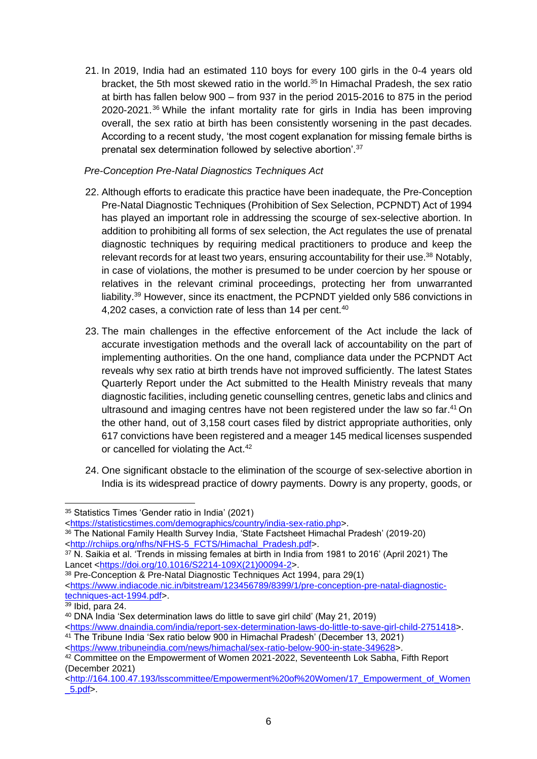21. In 2019, India had an estimated 110 boys for every 100 girls in the 0-4 years old bracket, the 5th most skewed ratio in the world.<sup>35</sup> In Himachal Pradesh, the sex ratio at birth has fallen below 900 – from 937 in the period 2015-2016 to 875 in the period 2020-2021.<sup>36</sup> While the infant mortality rate for girls in India has been improving overall, the sex ratio at birth has been consistently worsening in the past decades. According to a recent study, 'the most cogent explanation for missing female births is prenatal sex determination followed by selective abortion'.<sup>37</sup>

#### *Pre-Conception Pre-Natal Diagnostics Techniques Act*

- 22. Although efforts to eradicate this practice have been inadequate, the Pre-Conception Pre-Natal Diagnostic Techniques (Prohibition of Sex Selection, PCPNDT) Act of 1994 has played an important role in addressing the scourge of sex-selective abortion. In addition to prohibiting all forms of sex selection, the Act regulates the use of prenatal diagnostic techniques by requiring medical practitioners to produce and keep the relevant records for at least two years, ensuring accountability for their use. <sup>38</sup> Notably, in case of violations, the mother is presumed to be under coercion by her spouse or relatives in the relevant criminal proceedings, protecting her from unwarranted liability.<sup>39</sup> However, since its enactment, the PCPNDT yielded only 586 convictions in 4,202 cases, a conviction rate of less than 14 per cent.<sup>40</sup>
- 23. The main challenges in the effective enforcement of the Act include the lack of accurate investigation methods and the overall lack of accountability on the part of implementing authorities. On the one hand, compliance data under the PCPNDT Act reveals why sex ratio at birth trends have not improved sufficiently. The latest States Quarterly Report under the Act submitted to the Health Ministry reveals that many diagnostic facilities, including genetic counselling centres, genetic labs and clinics and ultrasound and imaging centres have not been registered under the law so far. <sup>41</sup> On the other hand, out of 3,158 court cases filed by district appropriate authorities, only 617 convictions have been registered and a meager 145 medical licenses suspended or cancelled for violating the Act.<sup>42</sup>
- 24. One significant obstacle to the elimination of the scourge of sex-selective abortion in India is its widespread practice of dowry payments. Dowry is any property, goods, or

- [<https://statisticstimes.com/demographics/country/india-sex-ratio.php>](about:blank).
- <sup>36</sup> The National Family Health Survey India, 'State Factsheet Himachal Pradesh' (2019-20) [<http://rchiips.org/nfhs/NFHS-5\\_FCTS/Himachal\\_Pradesh.pdf>](about:blank).

<sup>35</sup> Statistics Times 'Gender ratio in India' (2021)

<sup>37</sup> N. Saikia et al. 'Trends in missing females at birth in India from 1981 to 2016' (April 2021) The Lancet [<https://doi.org/10.1016/S2214-109X\(21\)00094-2>](about:blank).

<sup>38</sup> Pre-Conception & Pre-Natal Diagnostic Techniques Act 1994, para 29(1) [<https://www.indiacode.nic.in/bitstream/123456789/8399/1/pre-conception-pre-natal-diagnostic](https://www.indiacode.nic.in/bitstream/123456789/8399/1/pre-conception-pre-natal-diagnostic-techniques-act-1994.pdf)[techniques-act-1994.pdf>](https://www.indiacode.nic.in/bitstream/123456789/8399/1/pre-conception-pre-natal-diagnostic-techniques-act-1994.pdf).

 $39$  Ibid, para 24.

<sup>40</sup> DNA India 'Sex determination laws do little to save girl child' (May 21, 2019) [<https://www.dnaindia.com/india/report-sex-determination-laws-do-little-to-save-girl-child-2751418>](about:blank).

<sup>41</sup> The Tribune India 'Sex ratio below 900 in Himachal Pradesh' (December 13, 2021) [<https://www.tribuneindia.com/news/himachal/sex-ratio-below-900-in-state-349628>](about:blank).

<sup>42</sup> Committee on the Empowerment of Women 2021-2022, Seventeenth Lok Sabha, Fifth Report (December 2021)

[<sup>&</sup>lt;http://164.100.47.193/lsscommittee/Empowerment%20of%20Women/17\\_Empowerment\\_of\\_Women](http://164.100.47.193/lsscommittee/Empowerment%20of%20Women/17_Empowerment_of_Women_5.pdf)  $5.pdf$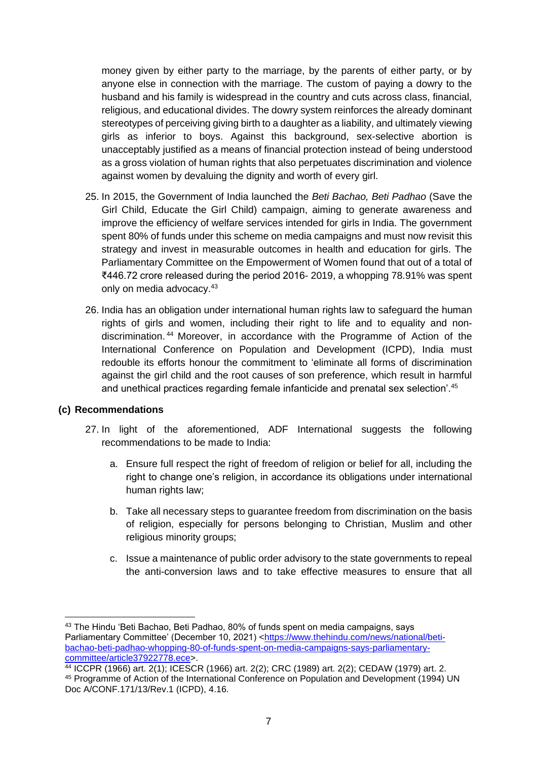money given by either party to the marriage, by the parents of either party, or by anyone else in connection with the marriage. The custom of paying a dowry to the husband and his family is widespread in the country and cuts across class, financial, religious, and educational divides. The dowry system reinforces the already dominant stereotypes of perceiving giving birth to a daughter as a liability, and ultimately viewing girls as inferior to boys. Against this background, sex-selective abortion is unacceptably justified as a means of financial protection instead of being understood as a gross violation of human rights that also perpetuates discrimination and violence against women by devaluing the dignity and worth of every girl.

- 25. In 2015, the Government of India launched the *Beti Bachao, Beti Padhao* (Save the Girl Child, Educate the Girl Child) campaign, aiming to generate awareness and improve the efficiency of welfare services intended for girls in India. The government spent 80% of funds under this scheme on media campaigns and must now revisit this strategy and invest in measurable outcomes in health and education for girls. The Parliamentary Committee on the Empowerment of Women found that out of a total of ₹446.72 crore released during the period 2016- 2019, a whopping 78.91% was spent only on media advocacy.<sup>43</sup>
- 26. India has an obligation under international human rights law to safeguard the human rights of girls and women, including their right to life and to equality and nondiscrimination. <sup>44</sup> Moreover, in accordance with the Programme of Action of the International Conference on Population and Development (ICPD), India must redouble its efforts honour the commitment to 'eliminate all forms of discrimination against the girl child and the root causes of son preference, which result in harmful and unethical practices regarding female infanticide and prenatal sex selection'.<sup>45</sup>

#### **(c) Recommendations**

- 27. In light of the aforementioned, ADF International suggests the following recommendations to be made to India:
	- a. Ensure full respect the right of freedom of religion or belief for all, including the right to change one's religion, in accordance its obligations under international human rights law;
	- b. Take all necessary steps to guarantee freedom from discrimination on the basis of religion, especially for persons belonging to Christian, Muslim and other religious minority groups;
	- c. Issue a maintenance of public order advisory to the state governments to repeal the anti-conversion laws and to take effective measures to ensure that all

<sup>43</sup> The Hindu 'Beti Bachao, Beti Padhao, 80% of funds spent on media campaigns, says Parliamentary Committee' (December 10, 2021) [<https://www.thehindu.com/news/national/beti](https://www.thehindu.com/news/national/beti-bachao-beti-padhao-whopping-80-of-funds-spent-on-media-campaigns-says-parliamentary-committee/article37922778.ece)[bachao-beti-padhao-whopping-80-of-funds-spent-on-media-campaigns-says-parliamentary](https://www.thehindu.com/news/national/beti-bachao-beti-padhao-whopping-80-of-funds-spent-on-media-campaigns-says-parliamentary-committee/article37922778.ece)[committee/article37922778.ece>](https://www.thehindu.com/news/national/beti-bachao-beti-padhao-whopping-80-of-funds-spent-on-media-campaigns-says-parliamentary-committee/article37922778.ece).

<sup>44</sup> ICCPR (1966) art. 2(1); ICESCR (1966) art. 2(2); CRC (1989) art. 2(2); CEDAW (1979) art. 2. <sup>45</sup> Programme of Action of the International Conference on Population and Development (1994) UN Doc A/CONF.171/13/Rev.1 (ICPD), 4.16.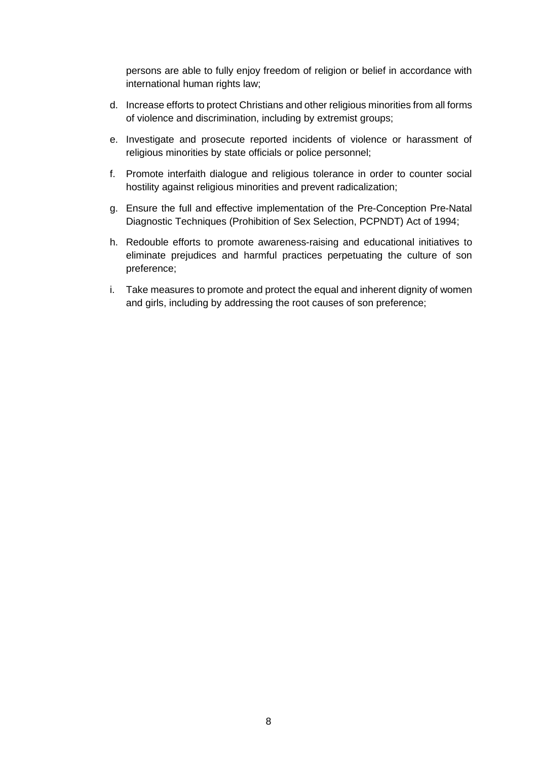persons are able to fully enjoy freedom of religion or belief in accordance with international human rights law;

- d. Increase efforts to protect Christians and other religious minorities from all forms of violence and discrimination, including by extremist groups;
- e. Investigate and prosecute reported incidents of violence or harassment of religious minorities by state officials or police personnel;
- f. Promote interfaith dialogue and religious tolerance in order to counter social hostility against religious minorities and prevent radicalization;
- g. Ensure the full and effective implementation of the Pre-Conception Pre-Natal Diagnostic Techniques (Prohibition of Sex Selection, PCPNDT) Act of 1994;
- h. Redouble efforts to promote awareness-raising and educational initiatives to eliminate prejudices and harmful practices perpetuating the culture of son preference;
- i. Take measures to promote and protect the equal and inherent dignity of women and girls, including by addressing the root causes of son preference;